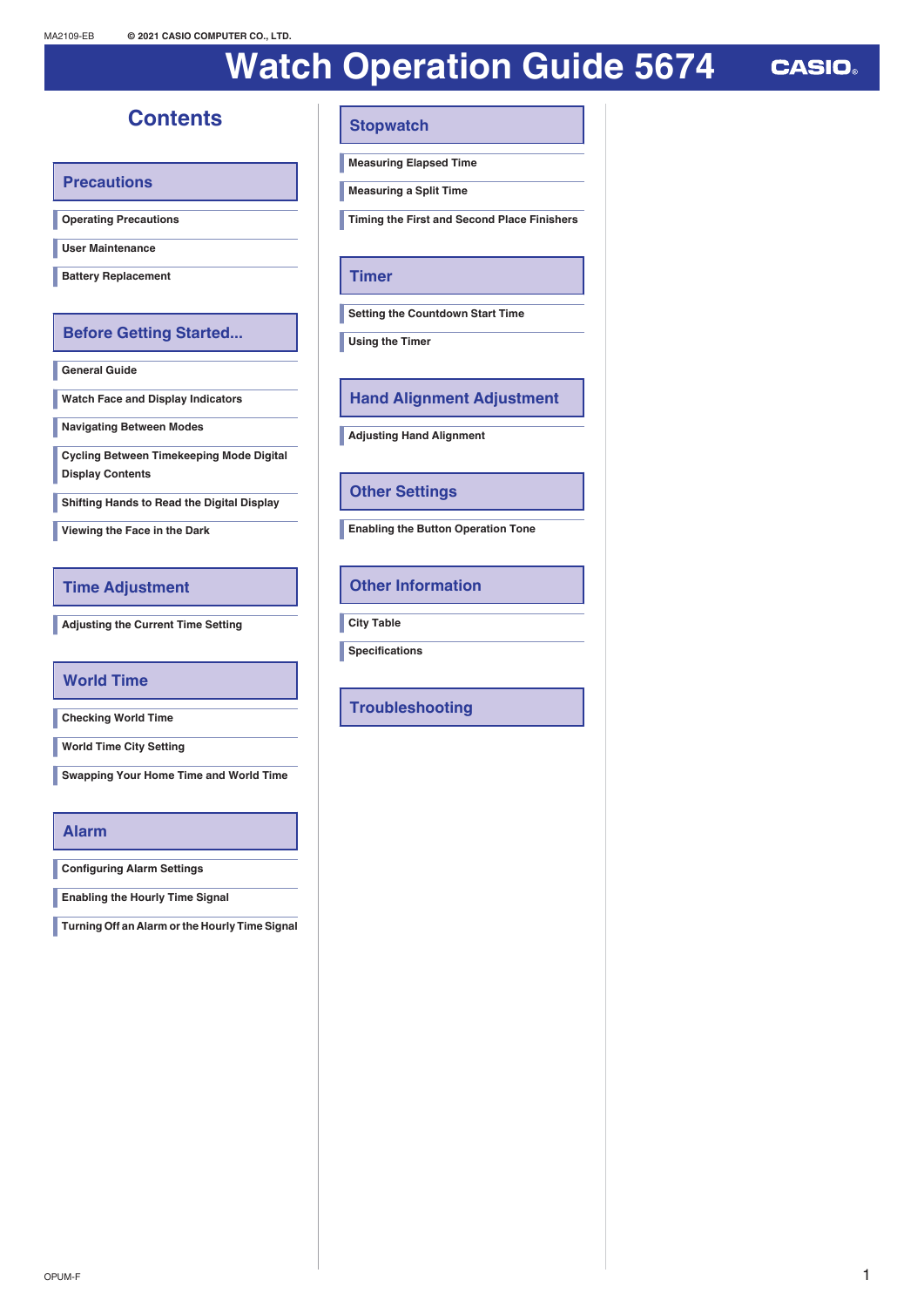# **Watch Operation Guide 5674**

**CASIO** 

# **Contents**

**[Precautions](#page-1-0)**

**[Operating Precautions](#page-1-0)**

**[User Maintenance](#page-3-0)**

**[Battery Replacement](#page-4-0)**

### **[Before Getting Started...](#page-5-0)**

**[General Guide](#page-5-0)**

**[Watch Face and Display Indicators](#page-5-0)**

**[Navigating Between Modes](#page-6-0)**

**[Cycling Between Timekeeping Mode Digital](#page-6-0) [Display Contents](#page-6-0)**

**[Shifting Hands to Read the Digital Display](#page-6-0)**

**[Viewing the Face in the Dark](#page-6-0)**

### **[Time Adjustment](#page-7-0)**

**[Adjusting the Current Time Setting](#page-7-0)**

### **[World Time](#page-9-0)**

**[Checking World Time](#page-9-0)**

**[World Time City Setting](#page-9-0)**

**[Swapping Your Home Time and World Time](#page-9-0)**

### **[Alarm](#page-10-0)**

**[Configuring Alarm Settings](#page-10-0)**

**[Enabling the Hourly Time Signal](#page-10-0)**

**[Turning Off an Alarm or the Hourly Time Signal](#page-10-0)**

### **[Stopwatch](#page-11-0)**

**[Measuring Elapsed Time](#page-11-0)**

**[Measuring a Split Time](#page-11-0)**

**[Timing the First and Second Place Finishers](#page-12-0)**

### **[Timer](#page-12-0)**

**[Setting the Countdown Start Time](#page-12-0)**

**[Using the Timer](#page-13-0)**

**[Hand Alignment Adjustment](#page-13-0)**

**[Adjusting Hand Alignment](#page-13-0)**

### **[Other Settings](#page-13-0)**

**[Enabling the Button Operation Tone](#page-13-0)**

### **[Other Information](#page-14-0)**

**[City Table](#page-14-0)**

**[Specifications](#page-15-0)**

### **[Troubleshooting](#page-15-0)**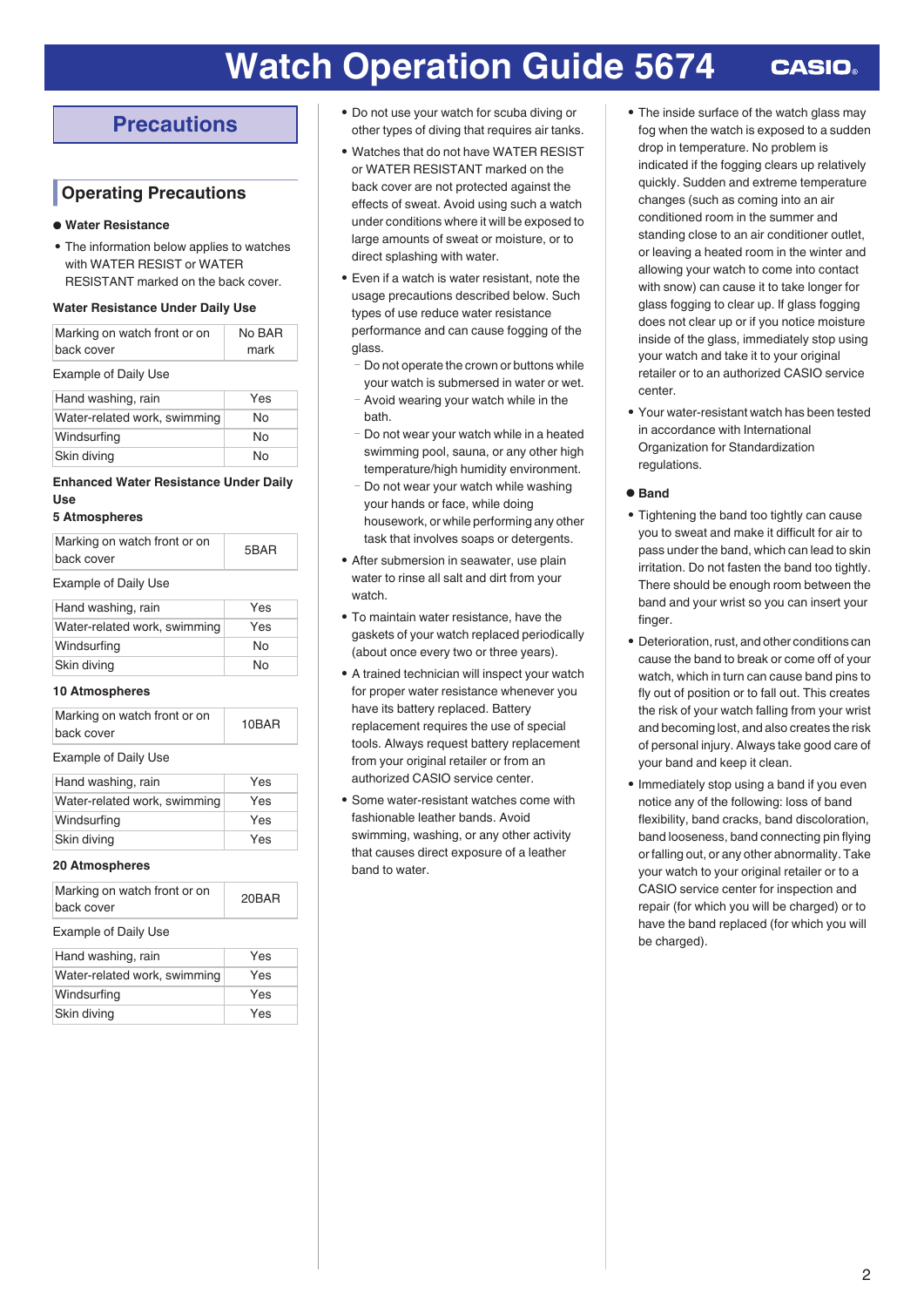# <span id="page-1-0"></span>**Precautions**

### **Operating Precautions**

### **● Water Resistance**

• The information below applies to watches with WATER RESIST or WATER RESISTANT marked on the back cover.

#### **Water Resistance Under Daily Use**

| Marking on watch front or on<br>back cover | No BAR<br>mark |
|--------------------------------------------|----------------|
| <b>Example of Daily Use</b>                |                |
| Hand washing, rain                         | Yes            |

| Tidilu washing, Talif        | 155 |
|------------------------------|-----|
| Water-related work, swimming | No  |
| Windsurfing                  | N٥  |
| Skin diving                  | No  |

### **Enhanced Water Resistance Under Daily Use**

#### **5 Atmospheres**

| Marking on watch front or on<br>back cover | 5BAR |
|--------------------------------------------|------|
| <b>Example of Daily Use</b>                |      |
| Hand washing, rain                         | Yes  |
| .                                          |      |

| Water-related work, swimming | Yes |
|------------------------------|-----|
| Windsurfing                  | N٥  |
| Skin diving                  | N٥  |
|                              |     |

### **10 Atmospheres**

| Marking on watch front or on<br>back cover | 10BAR |
|--------------------------------------------|-------|
|                                            |       |

### Example of Daily Use

| Hand washing, rain           | Yes |
|------------------------------|-----|
| Water-related work, swimming | Yes |
| Windsurfing                  | Yes |
| Skin diving                  | Yes |

### **20 Atmospheres**

| Marking on watch front or on<br>back cover | 20BAR |  |
|--------------------------------------------|-------|--|
| <b>Example of Daily Use</b>                |       |  |
| Hand washing, rain                         | Yes   |  |
| Water-related work, swimming               | Yes   |  |
| Windsurfing                                | Yes   |  |
| Skin diving                                | Yes   |  |
|                                            |       |  |

- Do not use your watch for scuba diving or other types of diving that requires air tanks.
- Watches that do not have WATER RESIST or WATER RESISTANT marked on the back cover are not protected against the effects of sweat. Avoid using such a watch under conditions where it will be exposed to large amounts of sweat or moisture, or to direct splashing with water.
- Even if a watch is water resistant, note the usage precautions described below. Such types of use reduce water resistance performance and can cause fogging of the glass.
	- Do not operate the crown or buttons while your watch is submersed in water or wet.
	- Avoid wearing your watch while in the bath.
	- <sup>ー</sup>Do not wear your watch while in a heated swimming pool, sauna, or any other high temperature/high humidity environment.
	- <sup>ー</sup>Do not wear your watch while washing your hands or face, while doing housework, or while performing any other task that involves soaps or detergents.
- After submersion in seawater, use plain water to rinse all salt and dirt from your watch.
- To maintain water resistance, have the gaskets of your watch replaced periodically (about once every two or three years).
- A trained technician will inspect your watch for proper water resistance whenever you have its battery replaced. Battery replacement requires the use of special tools. Always request battery replacement from your original retailer or from an authorized CASIO service center.
- Some water-resistant watches come with fashionable leather bands. Avoid swimming, washing, or any other activity that causes direct exposure of a leather band to water.
- The inside surface of the watch glass may fog when the watch is exposed to a sudden drop in temperature. No problem is indicated if the fogging clears up relatively quickly. Sudden and extreme temperature changes (such as coming into an air conditioned room in the summer and standing close to an air conditioner outlet, or leaving a heated room in the winter and allowing your watch to come into contact with snow) can cause it to take longer for glass fogging to clear up. If glass fogging does not clear up or if you notice moisture inside of the glass, immediately stop using your watch and take it to your original retailer or to an authorized CASIO service center.
- Your water-resistant watch has been tested in accordance with International Organization for Standardization regulations.

### **● Band**

- Tightening the band too tightly can cause you to sweat and make it difficult for air to pass under the band, which can lead to skin irritation. Do not fasten the band too tightly. There should be enough room between the band and your wrist so you can insert your finger.
- Deterioration, rust, and other conditions can cause the band to break or come off of your watch, which in turn can cause band pins to fly out of position or to fall out. This creates the risk of your watch falling from your wrist and becoming lost, and also creates the risk of personal injury. Always take good care of your band and keep it clean.
- Immediately stop using a band if you even notice any of the following: loss of band flexibility, band cracks, band discoloration, band looseness, band connecting pin flying or falling out, or any other abnormality. Take your watch to your original retailer or to a CASIO service center for inspection and repair (for which you will be charged) or to have the band replaced (for which you will be charged).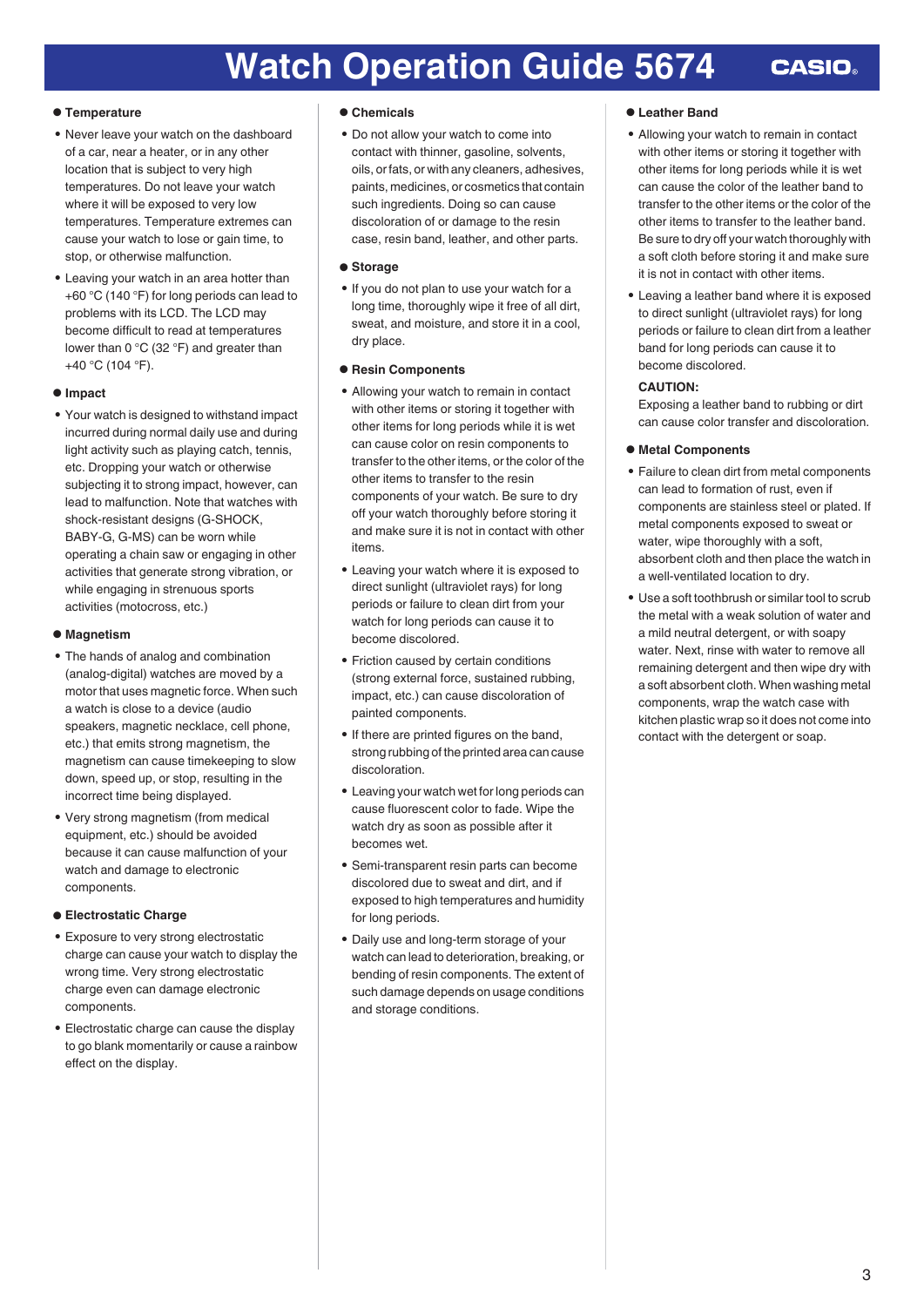#### **● Temperature**

- Never leave your watch on the dashboard of a car, near a heater, or in any other location that is subject to very high temperatures. Do not leave your watch where it will be exposed to very low temperatures. Temperature extremes can cause your watch to lose or gain time, to stop, or otherwise malfunction.
- Leaving your watch in an area hotter than +60 °C (140 °F) for long periods can lead to problems with its LCD. The LCD may become difficult to read at temperatures lower than 0 °C (32 °F) and greater than +40 °C (104 °F).

#### **● Impact**

● Your watch is designed to withstand impact incurred during normal daily use and during light activity such as playing catch, tennis, etc. Dropping your watch or otherwise subjecting it to strong impact, however, can lead to malfunction. Note that watches with shock-resistant designs (G-SHOCK, BABY-G, G-MS) can be worn while operating a chain saw or engaging in other activities that generate strong vibration, or while engaging in strenuous sports activities (motocross, etc.)

#### **● Magnetism**

- The hands of analog and combination (analog-digital) watches are moved by a motor that uses magnetic force. When such a watch is close to a device (audio speakers, magnetic necklace, cell phone, etc.) that emits strong magnetism, the magnetism can cause timekeeping to slow down, speed up, or stop, resulting in the incorrect time being displayed.
- Very strong magnetism (from medical equipment, etc.) should be avoided because it can cause malfunction of your watch and damage to electronic components.

### **● Electrostatic Charge**

- Exposure to very strong electrostatic charge can cause your watch to display the wrong time. Very strong electrostatic charge even can damage electronic components.
- Electrostatic charge can cause the display to go blank momentarily or cause a rainbow effect on the display.

#### **● Chemicals**

● Do not allow your watch to come into contact with thinner, gasoline, solvents, oils, or fats, or with any cleaners, adhesives, paints, medicines, or cosmetics that contain such ingredients. Doing so can cause discoloration of or damage to the resin case, resin band, leather, and other parts.

#### **● Storage**

● If you do not plan to use your watch for a long time, thoroughly wipe it free of all dirt, sweat, and moisture, and store it in a cool, dry place.

#### **● Resin Components**

- Allowing your watch to remain in contact with other items or storing it together with other items for long periods while it is wet can cause color on resin components to transfer to the other items, or the color of the other items to transfer to the resin components of your watch. Be sure to dry off your watch thoroughly before storing it and make sure it is not in contact with other items.
- Leaving your watch where it is exposed to direct sunlight (ultraviolet rays) for long periods or failure to clean dirt from your watch for long periods can cause it to become discolored.
- Friction caused by certain conditions (strong external force, sustained rubbing, impact, etc.) can cause discoloration of painted components.
- If there are printed figures on the band, strong rubbing of the printed area can cause discoloration.
- Leaving your watch wet for long periods can cause fluorescent color to fade. Wipe the watch dry as soon as possible after it becomes wet.
- Semi-transparent resin parts can become discolored due to sweat and dirt, and if exposed to high temperatures and humidity for long periods.
- Daily use and long-term storage of your watch can lead to deterioration, breaking, or bending of resin components. The extent of such damage depends on usage conditions and storage conditions.

#### **● Leather Band**

- Allowing your watch to remain in contact with other items or storing it together with other items for long periods while it is wet can cause the color of the leather band to transfer to the other items or the color of the other items to transfer to the leather band. Be sure to dry off your watch thoroughly with a soft cloth before storing it and make sure it is not in contact with other items.
- Leaving a leather band where it is exposed to direct sunlight (ultraviolet rays) for long periods or failure to clean dirt from a leather band for long periods can cause it to become discolored.

### **CAUTION:**

Exposing a leather band to rubbing or dirt can cause color transfer and discoloration.

#### **● Metal Components**

- Failure to clean dirt from metal components can lead to formation of rust, even if components are stainless steel or plated. If metal components exposed to sweat or water, wipe thoroughly with a soft, absorbent cloth and then place the watch in a well-ventilated location to dry.
- Use a soft toothbrush or similar tool to scrub the metal with a weak solution of water and a mild neutral detergent, or with soapy water. Next, rinse with water to remove all remaining detergent and then wipe dry with a soft absorbent cloth. When washing metal components, wrap the watch case with kitchen plastic wrap so it does not come into contact with the detergent or soap.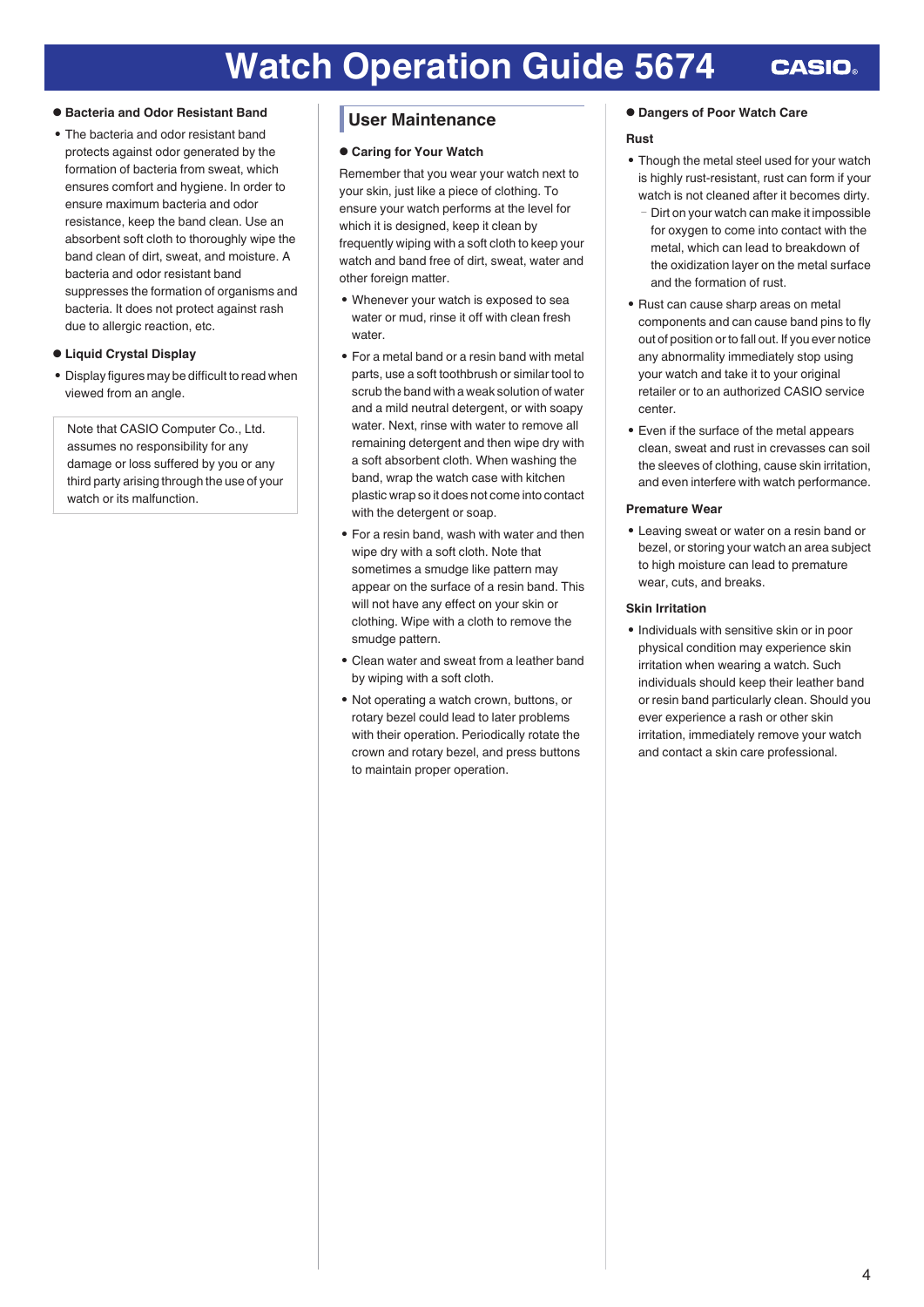#### <span id="page-3-0"></span>**● Bacteria and Odor Resistant Band**

• The bacteria and odor resistant band protects against odor generated by the formation of bacteria from sweat, which ensures comfort and hygiene. In order to ensure maximum bacteria and odor resistance, keep the band clean. Use an absorbent soft cloth to thoroughly wipe the band clean of dirt, sweat, and moisture. A bacteria and odor resistant band suppresses the formation of organisms and bacteria. It does not protect against rash due to allergic reaction, etc.

#### **● Liquid Crystal Display**

• Display figures may be difficult to read when viewed from an angle.

Note that CASIO Computer Co., Ltd. assumes no responsibility for any damage or loss suffered by you or any third party arising through the use of your watch or its malfunction.

### **User Maintenance**

#### **● Caring for Your Watch**

Remember that you wear your watch next to your skin, just like a piece of clothing. To ensure your watch performs at the level for which it is designed, keep it clean by frequently wiping with a soft cloth to keep your watch and band free of dirt, sweat, water and other foreign matter.

- Whenever your watch is exposed to sea water or mud, rinse it off with clean fresh water.
- For a metal band or a resin band with metal parts, use a soft toothbrush or similar tool to scrub the band with a weak solution of water and a mild neutral detergent, or with soapy water. Next, rinse with water to remove all remaining detergent and then wipe dry with a soft absorbent cloth. When washing the band, wrap the watch case with kitchen plastic wrap so it does not come into contact with the detergent or soap.
- For a resin band, wash with water and then wipe dry with a soft cloth. Note that sometimes a smudge like pattern may appear on the surface of a resin band. This will not have any effect on your skin or clothing. Wipe with a cloth to remove the smudge pattern.
- Clean water and sweat from a leather band by wiping with a soft cloth.
- Not operating a watch crown, buttons, or rotary bezel could lead to later problems with their operation. Periodically rotate the crown and rotary bezel, and press buttons to maintain proper operation.

#### **● Dangers of Poor Watch Care**

#### **Rust**

- Though the metal steel used for your watch is highly rust-resistant, rust can form if your watch is not cleaned after it becomes dirty.
	- Dirt on your watch can make it impossible for oxygen to come into contact with the metal, which can lead to breakdown of the oxidization layer on the metal surface and the formation of rust.
- Rust can cause sharp areas on metal components and can cause band pins to fly out of position or to fall out. If you ever notice any abnormality immediately stop using your watch and take it to your original retailer or to an authorized CASIO service center.
- Even if the surface of the metal appears clean, sweat and rust in crevasses can soil the sleeves of clothing, cause skin irritation, and even interfere with watch performance.

#### **Premature Wear**

● Leaving sweat or water on a resin band or bezel, or storing your watch an area subject to high moisture can lead to premature wear, cuts, and breaks.

#### **Skin Irritation**

● Individuals with sensitive skin or in poor physical condition may experience skin irritation when wearing a watch. Such individuals should keep their leather band or resin band particularly clean. Should you ever experience a rash or other skin irritation, immediately remove your watch and contact a skin care professional.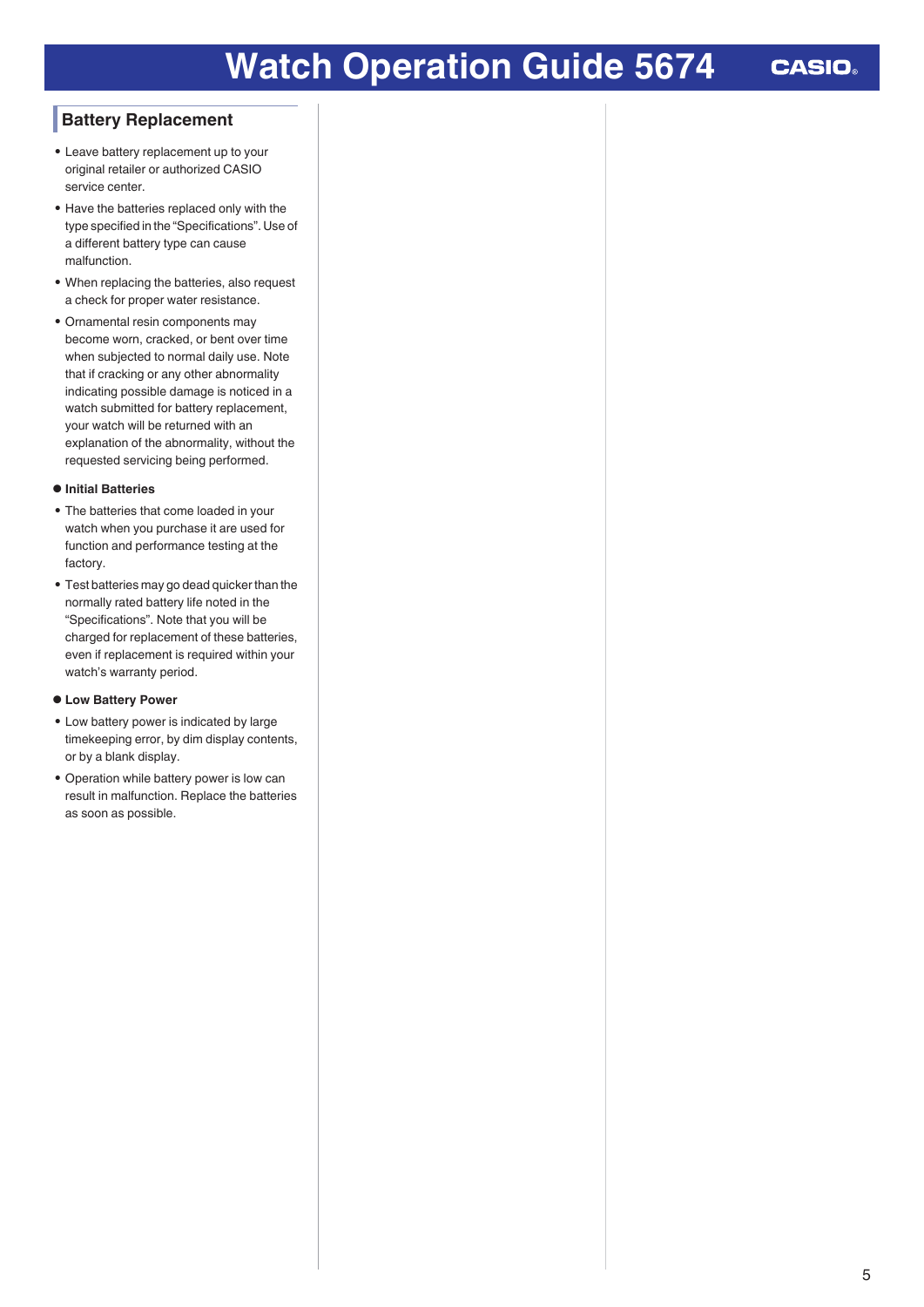# **Watch Operation Guide 5674**

**CASIO** 

### <span id="page-4-0"></span>**Battery Replacement**

- Leave battery replacement up to your original retailer or authorized CASIO service center.
- Have the batteries replaced only with the type specified in the "Specifications". Use of a different battery type can cause malfunction.
- When replacing the batteries, also request a check for proper water resistance.
- Ornamental resin components may become worn, cracked, or bent over time when subjected to normal daily use. Note that if cracking or any other abnormality indicating possible damage is noticed in a watch submitted for battery replacement, your watch will be returned with an explanation of the abnormality, without the requested servicing being performed.

#### **● Initial Batteries**

- The batteries that come loaded in your watch when you purchase it are used for function and performance testing at the factory.
- Test batteries may go dead quicker than the normally rated battery life noted in the "Specifications". Note that you will be charged for replacement of these batteries, even if replacement is required within your watch's warranty period.

#### **● Low Battery Power**

- Low battery power is indicated by large timekeeping error, by dim display contents, or by a blank display.
- Operation while battery power is low can result in malfunction. Replace the batteries as soon as possible.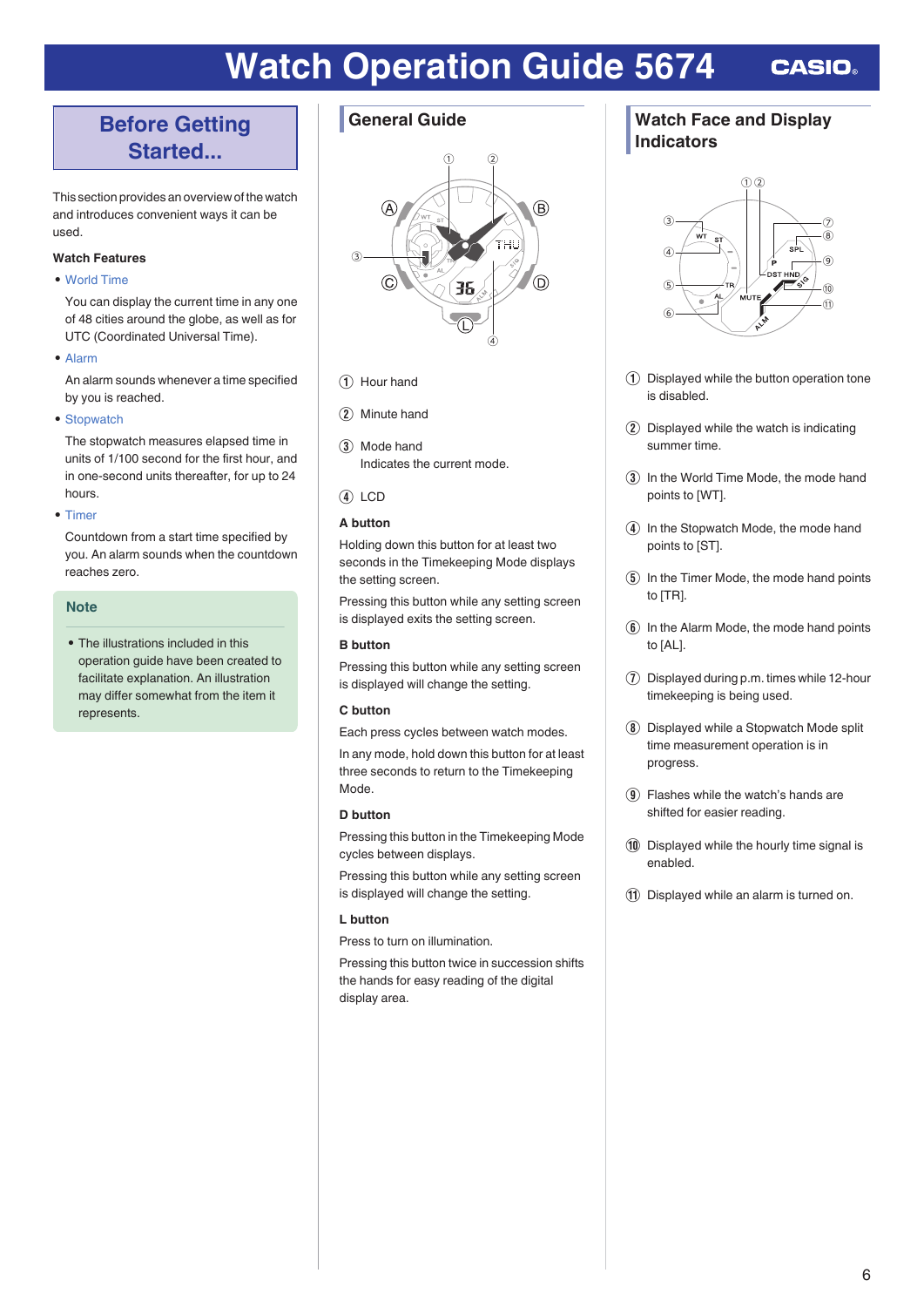# <span id="page-5-0"></span>**Before Getting Started...**

This section provides an overview of the watch and introduces convenient ways it can be used.

### **Watch Features**

#### ● [World Time](#page-9-0)

You can display the current time in any one of 48 cities around the globe, as well as for UTC (Coordinated Universal Time).

● [Alarm](#page-10-0)

An alarm sounds whenever a time specified by you is reached.

• [Stopwatch](#page-11-0)

The stopwatch measures elapsed time in units of 1/100 second for the first hour, and in one-second units thereafter, for up to 24 hours.

● [Timer](#page-12-0)

Countdown from a start time specified by you. An alarm sounds when the countdown reaches zero.

#### **Note**

• The illustrations included in this operation guide have been created to facilitate explanation. An illustration may differ somewhat from the item it represents.

### **General Guide**



- (1) Hour hand
- (2) Minute hand
- 3) Mode hand Indicates the current mode.
- $\overline{4}$  LCD

#### **A button**

Holding down this button for at least two seconds in the Timekeeping Mode displays the setting screen.

Pressing this button while any setting screen is displayed exits the setting screen.

#### **B button**

Pressing this button while any setting screen is displayed will change the setting.

#### **C button**

Each press cycles between watch modes. In any mode, hold down this button for at least three seconds to return to the Timekeeping Mode.

#### **D button**

Pressing this button in the Timekeeping Mode cycles between displays.

Pressing this button while any setting screen is displayed will change the setting.

### **L button**

Press to turn on illumination.

Pressing this button twice in succession shifts the hands for easy reading of the digital display area.

### **Watch Face and Display Indicators**



- A Displayed while the button operation tone is disabled.
- $\Omega$  Displayed while the watch is indicating summer time.
- (3) In the World Time Mode, the mode hand points to [WT].
- (4) In the Stopwatch Mode, the mode hand points to [ST].
- $\overline{6}$  In the Timer Mode, the mode hand points to [TR].
- $\left(6\right)$  In the Alarm Mode, the mode hand points to [AL].
- $\overline{1}$  Displayed during p.m. times while 12-hour timekeeping is being used.
- $\circledR$  Displayed while a Stopwatch Mode split time measurement operation is in progress.
- $\Omega$  Flashes while the watch's hands are shifted for easier reading.
- 10 Displayed while the hourly time signal is enabled.
- (1) Displayed while an alarm is turned on.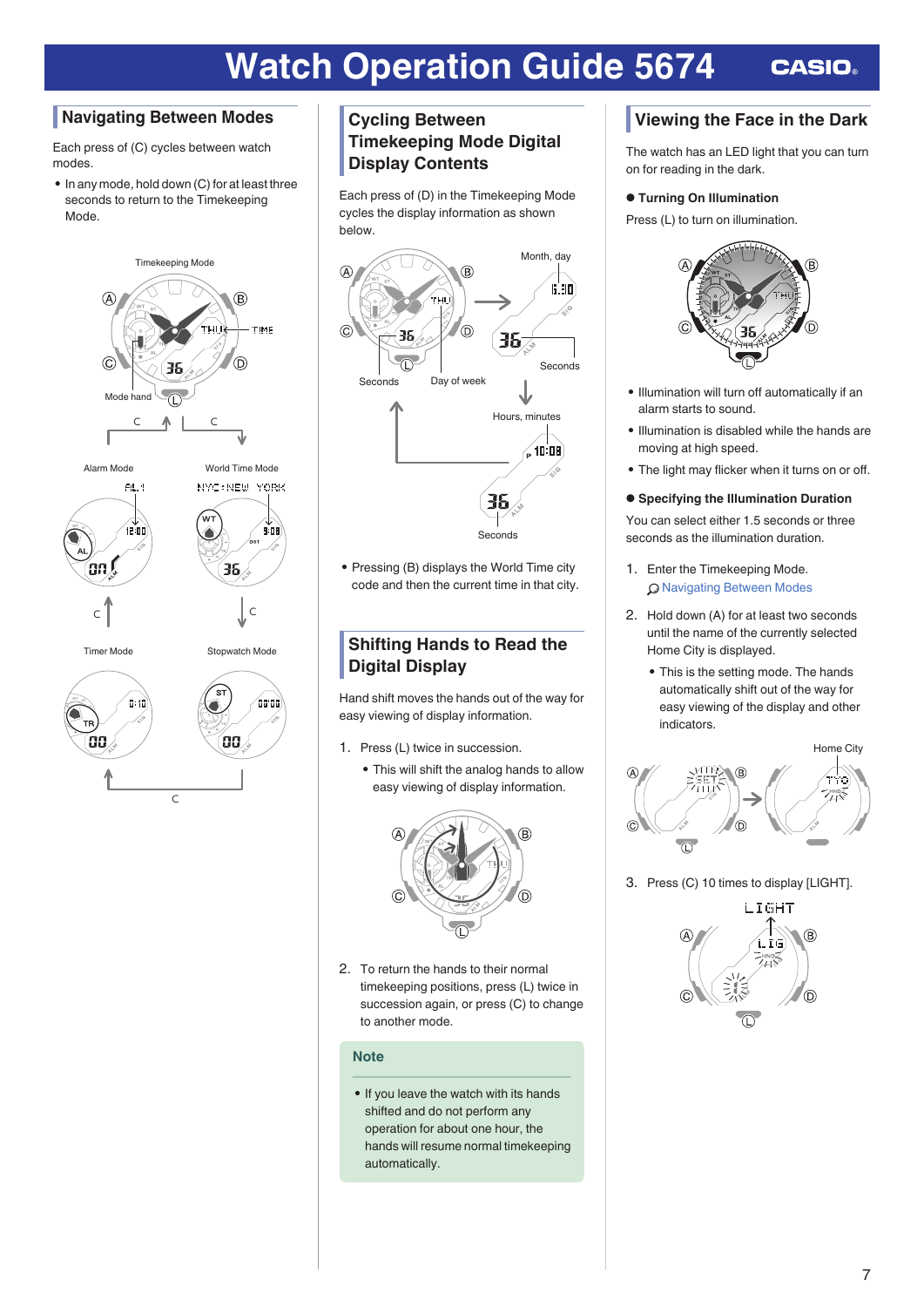### <span id="page-6-0"></span>**Navigating Between Modes**

Each press of (C) cycles between watch modes.

● In any mode, hold down (C) for at least three seconds to return to the Timekeeping Mode.



### **Cycling Between Timekeeping Mode Digital Display Contents**

Each press of (D) in the Timekeeping Mode cycles the display information as shown below.



• Pressing (B) displays the World Time city code and then the current time in that city.

### **Shifting Hands to Read the Digital Display**

Hand shift moves the hands out of the way for easy viewing of display information.

- 1. Press (L) twice in succession.
	- This will shift the analog hands to allow easy viewing of display information.



2. To return the hands to their normal timekeeping positions, press (L) twice in succession again, or press (C) to change to another mode.

### **Note**

● If you leave the watch with its hands shifted and do not perform any operation for about one hour, the hands will resume normal timekeeping automatically.

# **Viewing the Face in the Dark**

The watch has an LED light that you can turn on for reading in the dark.

### **● Turning On Illumination**

Press (L) to turn on illumination.



- Illumination will turn off automatically if an alarm starts to sound.
- Illumination is disabled while the hands are moving at high speed.
- The light may flicker when it turns on or off.
- **● Specifying the Illumination Duration**

You can select either 1.5 seconds or three seconds as the illumination duration.

- 1. Enter the Timekeeping Mode. Q Navigating Between Modes
- 2. Hold down (A) for at least two seconds until the name of the currently selected Home City is displayed.
	- This is the setting mode. The hands automatically shift out of the way for easy viewing of the display and other indicators.



3. Press (C) 10 times to display [LIGHT].

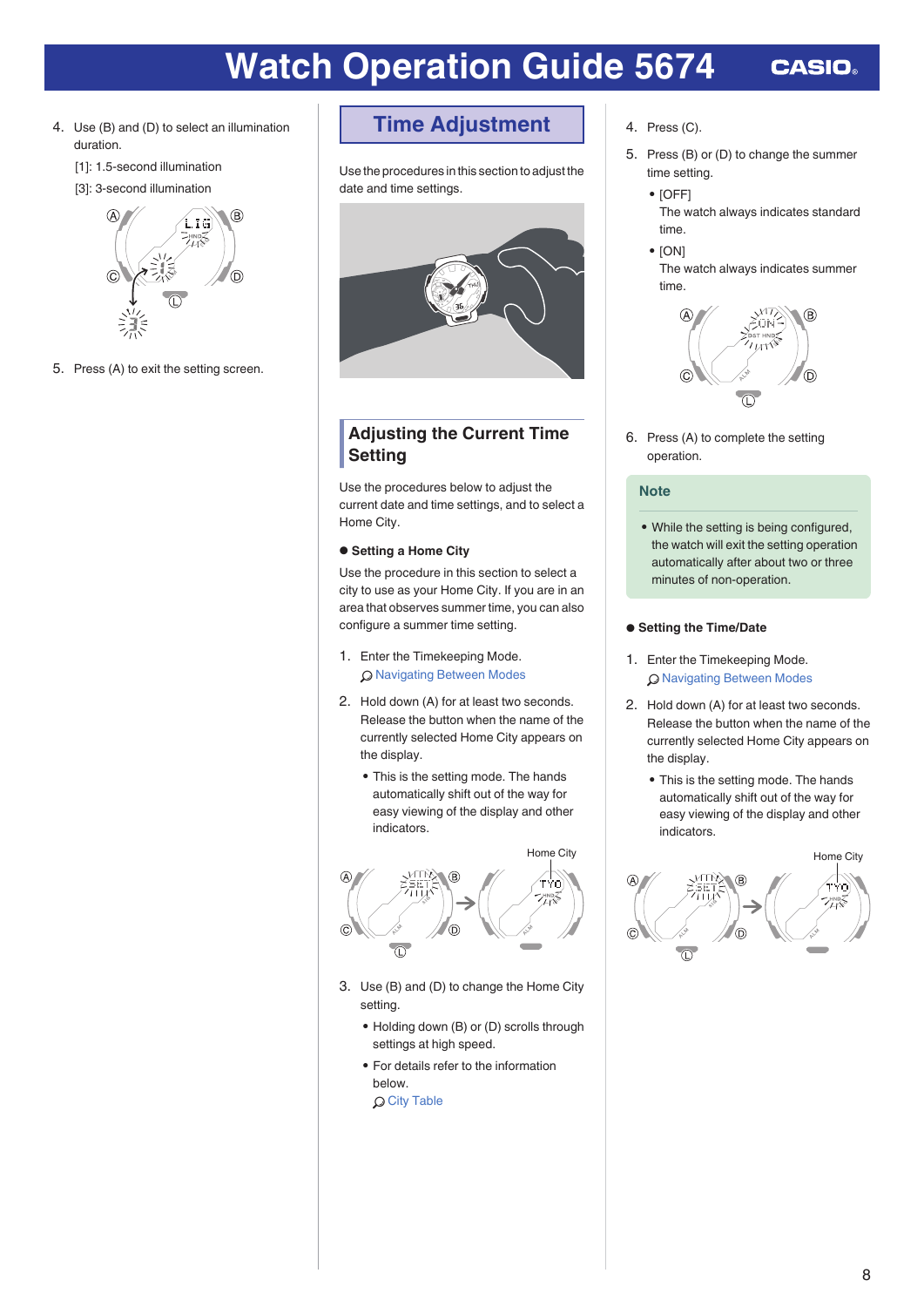- <span id="page-7-0"></span>4. Use (B) and (D) to select an illumination duration.
	- [1]: 1.5-second illumination
	- [3]: 3-second illumination



5. Press (A) to exit the setting screen.

**Time Adjustment**

Use the procedures in this section to adjust the date and time settings.



### **Adjusting the Current Time Setting**

Use the procedures below to adjust the current date and time settings, and to select a Home City.

#### **● Setting a Home City**

Use the procedure in this section to select a city to use as your Home City. If you are in an area that observes summer time, you can also configure a summer time setting.

- 1. Enter the Timekeeping Mode. **Q [Navigating Between Modes](#page-6-0)**
- 2. Hold down (A) for at least two seconds. Release the button when the name of the currently selected Home City appears on the display.
	- This is the setting mode. The hands automatically shift out of the way for easy viewing of the display and other indicators.



- 3. Use (B) and (D) to change the Home City setting.
	- Holding down (B) or (D) scrolls through settings at high speed.
	- For details refer to the information below.

**Q [City Table](#page-14-0)** 

- 4. Press (C).
- 5. Press (B) or (D) to change the summer time setting.
	- [OFF]
		- The watch always indicates standard time.
	- [ON] The watch always indicates summer time.



6. Press (A) to complete the setting operation.

#### **Note**

• While the setting is being configured. the watch will exit the setting operation automatically after about two or three minutes of non-operation.

#### **● Setting the Time/Date**

- 1. Enter the Timekeeping Mode. **Q [Navigating Between Modes](#page-6-0)**
- 2. Hold down (A) for at least two seconds. Release the button when the name of the currently selected Home City appears on the display.
	- This is the setting mode. The hands automatically shift out of the way for easy viewing of the display and other indicators.

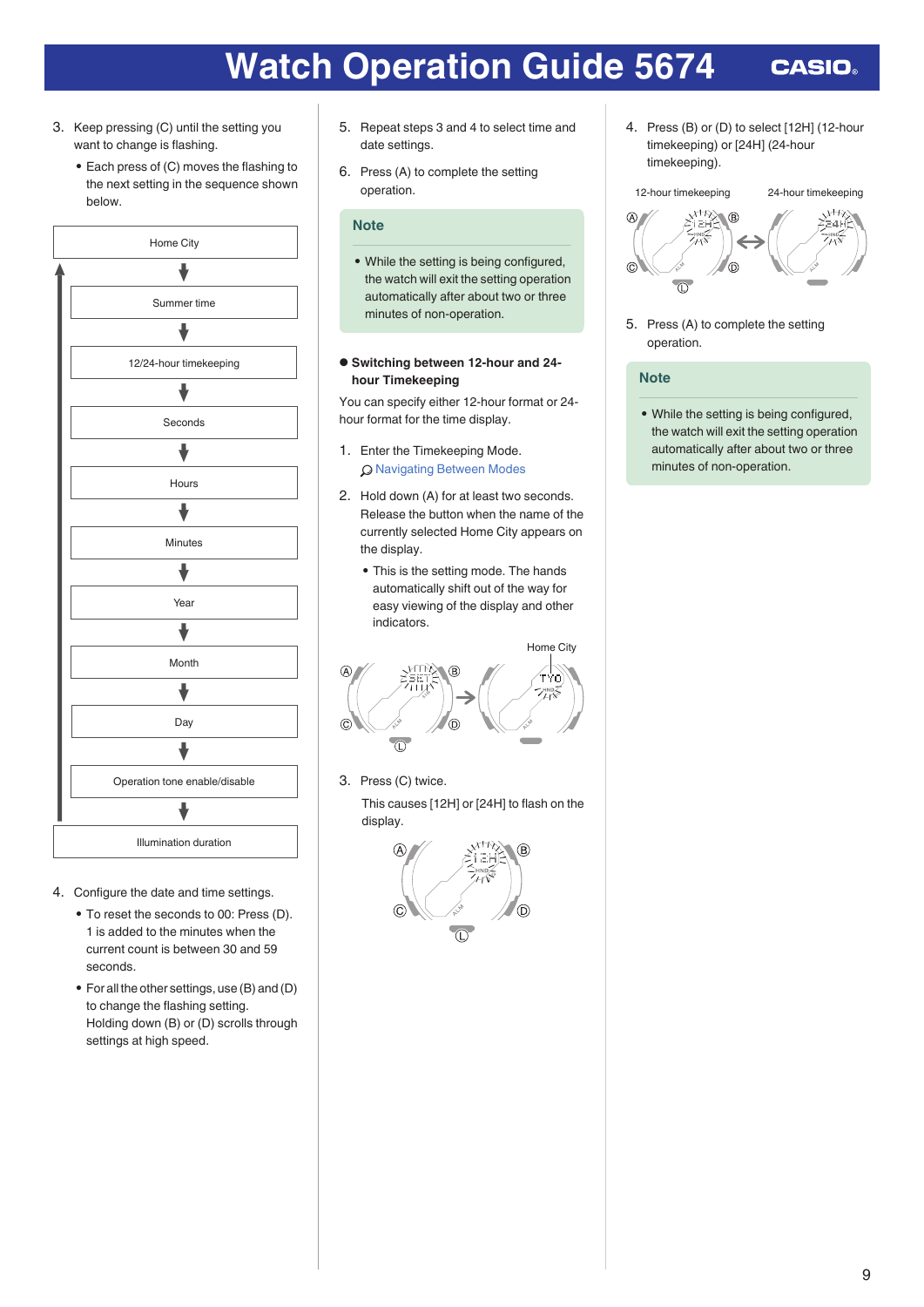- 3. Keep pressing (C) until the setting you want to change is flashing.
	- Each press of (C) moves the flashing to the next setting in the sequence shown below.



- 4. Configure the date and time settings.
	- To reset the seconds to 00: Press (D). 1 is added to the minutes when the current count is between 30 and 59 seconds.
	- For all the other settings, use (B) and (D) to change the flashing setting. Holding down (B) or (D) scrolls through settings at high speed.
- 5. Repeat steps 3 and 4 to select time and date settings.
- 6. Press (A) to complete the setting operation.

### **Note**

• While the setting is being configured, the watch will exit the setting operation automatically after about two or three minutes of non-operation.

#### **● Switching between 12-hour and 24 hour Timekeeping**

You can specify either 12-hour format or 24 hour format for the time display.

- 1. Enter the Timekeeping Mode. **Q [Navigating Between Modes](#page-6-0)**
- 2. Hold down (A) for at least two seconds. Release the button when the name of the currently selected Home City appears on the display.
	- This is the setting mode. The hands automatically shift out of the way for easy viewing of the display and other indicators.



3. Press (C) twice.

This causes [12H] or [24H] to flash on the display.



4. Press (B) or (D) to select [12H] (12-hour timekeeping) or [24H] (24-hour timekeeping).

### 12-hour timekeeping 24-hour timekeeping



5. Press (A) to complete the setting operation.

#### **Note**

• While the setting is being configured, the watch will exit the setting operation automatically after about two or three minutes of non-operation.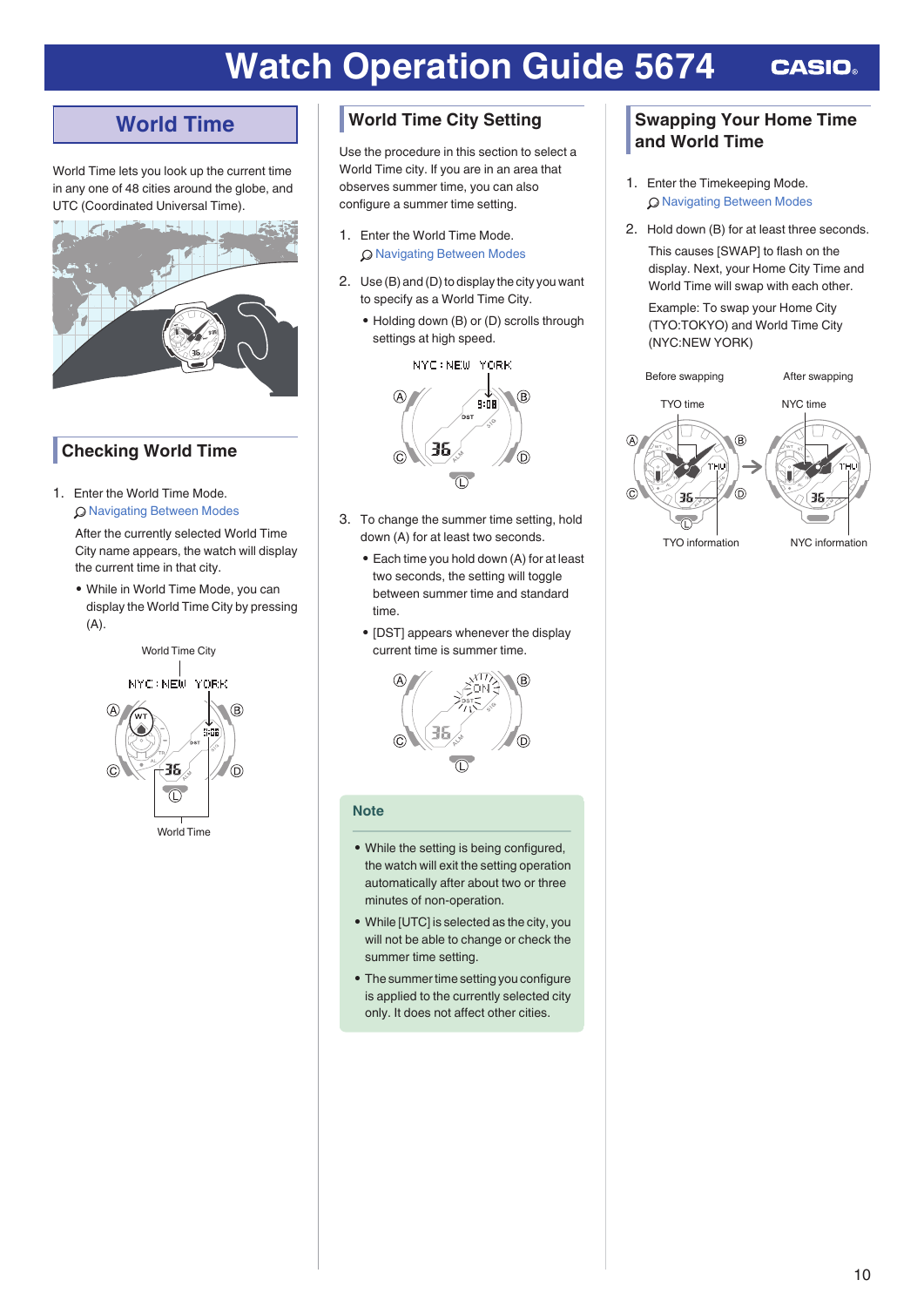# <span id="page-9-0"></span>**World Time**

World Time lets you look up the current time in any one of 48 cities around the globe, and UTC (Coordinated Universal Time).



### **Checking World Time**

1. Enter the World Time Mode. l [Navigating Between Modes](#page-6-0)

> After the currently selected World Time City name appears, the watch will display the current time in that city.

> ● While in World Time Mode, you can display the World Time City by pressing (A).



### **World Time City Setting**

Use the procedure in this section to select a World Time city. If you are in an area that observes summer time, you can also configure a summer time setting.

- 1. Enter the World Time Mode. l [Navigating Between Modes](#page-6-0)
- 2. Use (B) and (D) to display the city you want to specify as a World Time City.
	- Holding down (B) or (D) scrolls through settings at high speed.

NYC: NEW YORK



- 3. To change the summer time setting, hold down (A) for at least two seconds.
	- Each time you hold down (A) for at least two seconds, the setting will toggle between summer time and standard time.
	- [DST] appears whenever the display current time is summer time.



### **Note**

- While the setting is being configured, the watch will exit the setting operation automatically after about two or three minutes of non-operation.
- While [UTC] is selected as the city, you will not be able to change or check the summer time setting.
- The summer time setting you configure is applied to the currently selected city only. It does not affect other cities.

### **Swapping Your Home Time and World Time**

- 1. Enter the Timekeeping Mode. l [Navigating Between Modes](#page-6-0)
- 2. Hold down (B) for at least three seconds.

This causes [SWAP] to flash on the display. Next, your Home City Time and World Time will swap with each other. Example: To swap your Home City

(TYO:TOKYO) and World Time City (NYC:NEW YORK)

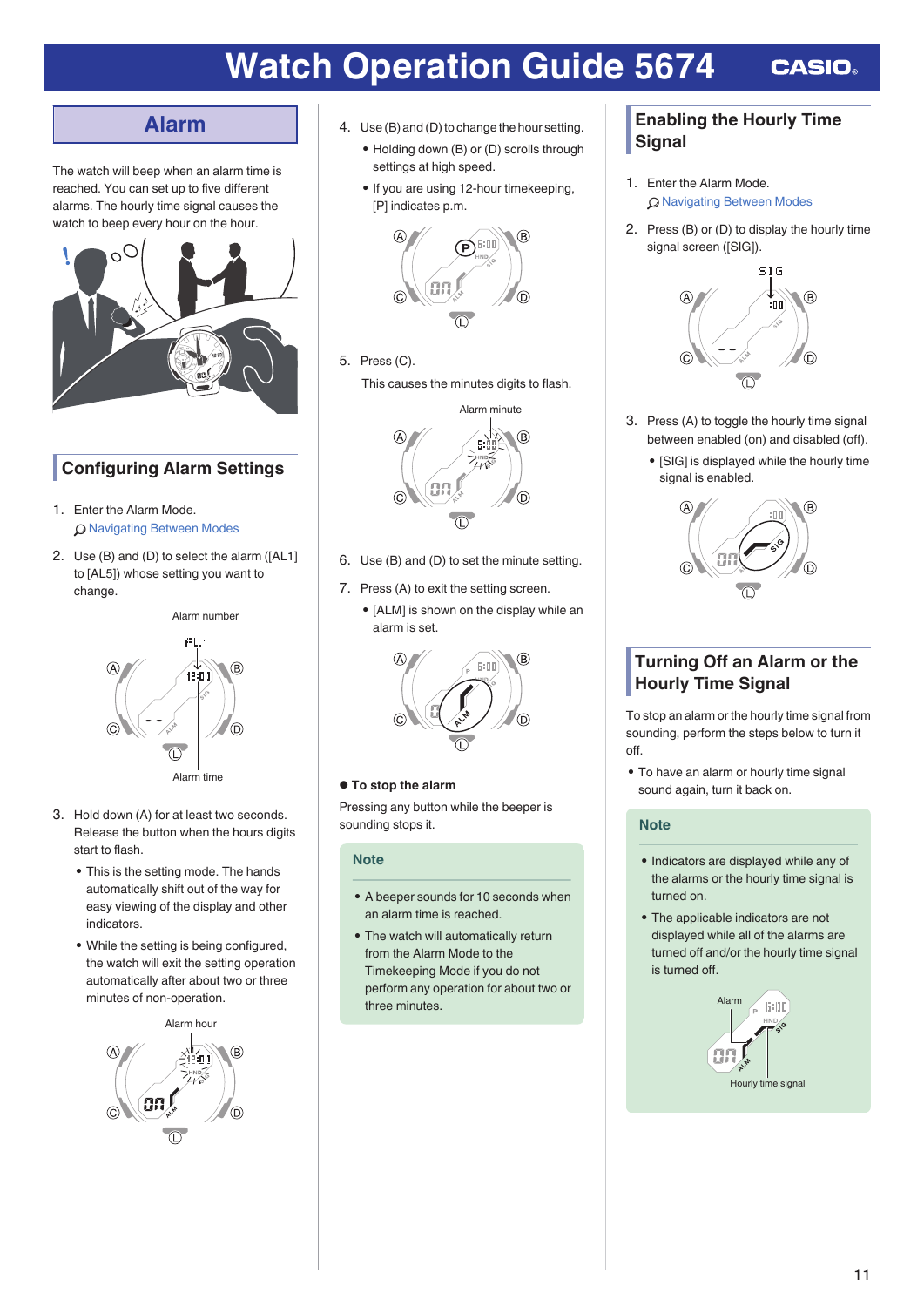# **Alarm**

<span id="page-10-0"></span>The watch will beep when an alarm time is reached. You can set up to five different alarms. The hourly time signal causes the watch to beep every hour on the hour.



# **Configuring Alarm Settings**

- 1. Enter the Alarm Mode. l [Navigating Between Modes](#page-6-0)
- 2. Use (B) and (D) to select the alarm ([AL1] to [AL5]) whose setting you want to change.



- 3. Hold down (A) for at least two seconds. Release the button when the hours digits start to flash.
	- This is the setting mode. The hands automatically shift out of the way for easy viewing of the display and other indicators.
	- While the setting is being configured, the watch will exit the setting operation automatically after about two or three minutes of non-operation.



- 4. Use (B) and (D) to change the hour setting.
	- Holding down (B) or (D) scrolls through settings at high speed.
	- If you are using 12-hour timekeeping, [P] indicates p.m.



5. Press (C). This causes the minutes digits to flash.



- 6. Use (B) and (D) to set the minute setting.
- 7. Press (A) to exit the setting screen.
	- [ALM] is shown on the display while an alarm is set.



### **● To stop the alarm**

Pressing any button while the beeper is sounding stops it.

### **Note**

- A beeper sounds for 10 seconds when an alarm time is reached.
- The watch will automatically return from the Alarm Mode to the Timekeeping Mode if you do not perform any operation for about two or three minutes.

### **Enabling the Hourly Time Signal**

- 1. Enter the Alarm Mode. l [Navigating Between Modes](#page-6-0)
- 2. Press (B) or (D) to display the hourly time signal screen ([SIG]).



- 3. Press (A) to toggle the hourly time signal between enabled (on) and disabled (off).
	- [SIG] is displayed while the hourly time signal is enabled.



### **Turning Off an Alarm or the Hourly Time Signal**

To stop an alarm or the hourly time signal from sounding, perform the steps below to turn it off.

• To have an alarm or hourly time signal sound again, turn it back on.

### **Note**

- Indicators are displayed while any of the alarms or the hourly time signal is turned on.
- The applicable indicators are not displayed while all of the alarms are turned off and/or the hourly time signal is turned off.

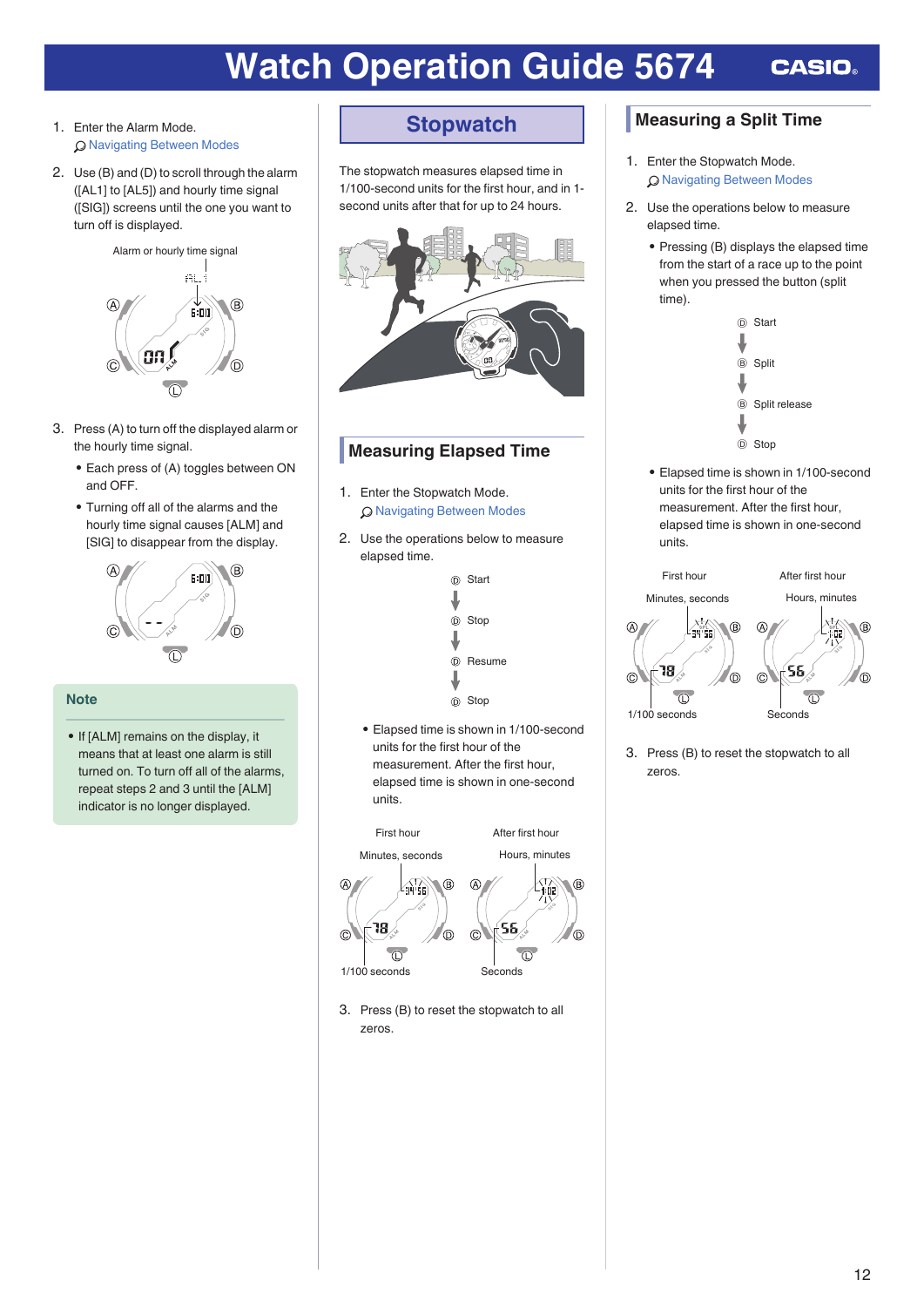- <span id="page-11-0"></span>1. Enter the Alarm Mode. l [Navigating Between Modes](#page-6-0)
- 2. Use (B) and (D) to scroll through the alarm ([AL1] to [AL5]) and hourly time signal ([SIG]) screens until the one you want to turn off is displayed.



- 3. Press (A) to turn off the displayed alarm or the hourly time signal.
	- Each press of (A) toggles between ON and OFF.
	- Turning off all of the alarms and the hourly time signal causes [ALM] and [SIG] to disappear from the display.



### **Note**

• If [ALM] remains on the display, it means that at least one alarm is still turned on. To turn off all of the alarms, repeat steps 2 and 3 until the [ALM] indicator is no longer displayed.

# **Stopwatch**

The stopwatch measures elapsed time in 1/100-second units for the first hour, and in 1 second units after that for up to 24 hours.



### **Measuring Elapsed Time**

- 1. Enter the Stopwatch Mode. l [Navigating Between Modes](#page-6-0)
- 2. Use the operations below to measure elapsed time.



● Elapsed time is shown in 1/100-second units for the first hour of the measurement. After the first hour, elapsed time is shown in one-second units.



3. Press (B) to reset the stopwatch to all zeros.

### **Measuring a Split Time**

- 1. Enter the Stopwatch Mode. **Q [Navigating Between Modes](#page-6-0)**
- 2. Use the operations below to measure elapsed time.
	- Pressing (B) displays the elapsed time from the start of a race up to the point when you pressed the button (split time).



● Elapsed time is shown in 1/100-second units for the first hour of the measurement. After the first hour, elapsed time is shown in one-second units.



3. Press (B) to reset the stopwatch to all zeros.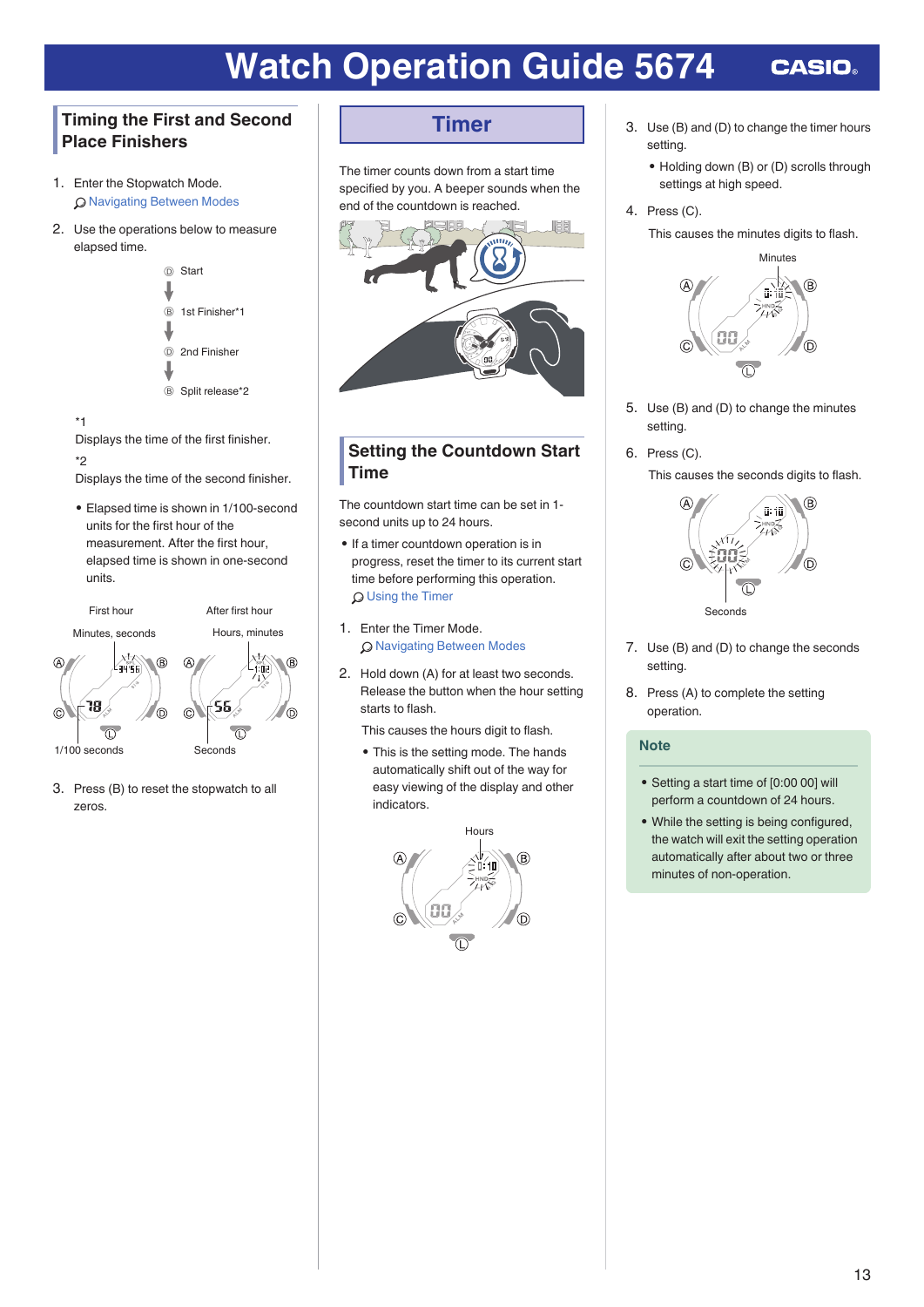### <span id="page-12-0"></span>**Timing the First and Second Place Finishers**

- 1. Enter the Stopwatch Mode. l [Navigating Between Modes](#page-6-0)
- 2. Use the operations below to measure elapsed time.



\*1

Displays the time of the first finisher.

#### \*2

Displays the time of the second finisher.

● Elapsed time is shown in 1/100-second units for the first hour of the measurement. After the first hour, elapsed time is shown in one-second units.



3. Press (B) to reset the stopwatch to all zeros.

# **Timer**

The timer counts down from a start time specified by you. A beeper sounds when the end of the countdown is reached.



### **Setting the Countdown Start Time**

The countdown start time can be set in 1 second units up to 24 hours.

- If a timer countdown operation is in progress, reset the timer to its current start time before performing this operation. **Q** [Using the Timer](#page-13-0)
- 1. Enter the Timer Mode. **Q [Navigating Between Modes](#page-6-0)**
- 2. Hold down (A) for at least two seconds. Release the button when the hour setting starts to flash.

This causes the hours digit to flash.

• This is the setting mode. The hands automatically shift out of the way for easy viewing of the display and other indicators.



- 3. Use (B) and (D) to change the timer hours setting.
	- Holding down (B) or (D) scrolls through settings at high speed.
- 4. Press (C).

This causes the minutes digits to flash.



- 5. Use (B) and (D) to change the minutes setting.
- 6. Press (C).

This causes the seconds digits to flash.



- 7. Use (B) and (D) to change the seconds setting.
- 8. Press (A) to complete the setting operation.

### **Note**

- Setting a start time of [0:00 00] will perform a countdown of 24 hours.
- While the setting is being configured, the watch will exit the setting operation automatically after about two or three minutes of non-operation.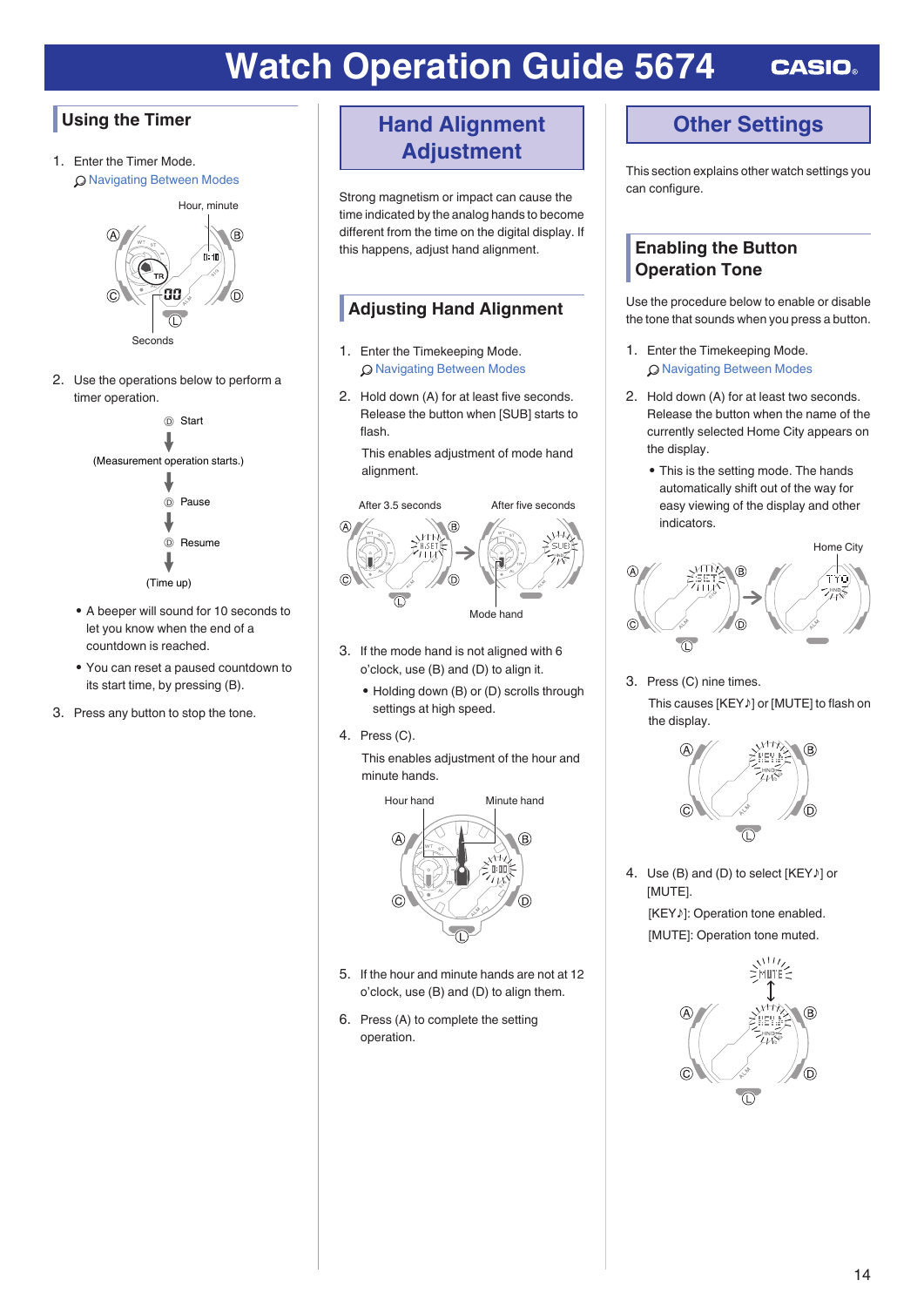# <span id="page-13-0"></span>**Using the Timer**

1. Enter the Timer Mode. l [Navigating Between Modes](#page-6-0)



2. Use the operations below to perform a timer operation.



- A beeper will sound for 10 seconds to let you know when the end of a countdown is reached.
- You can reset a paused countdown to its start time, by pressing (B).
- 3. Press any button to stop the tone.

# **Hand Alignment Adjustment**

Strong magnetism or impact can cause the time indicated by the analog hands to become different from the time on the digital display. If this happens, adjust hand alignment.

### **Adjusting Hand Alignment**

- 1. Enter the Timekeeping Mode. Q [Navigating Between Modes](#page-6-0)
- 2. Hold down (A) for at least five seconds. Release the button when [SUB] starts to flash.

This enables adjustment of mode hand alignment.



- 3. If the mode hand is not aligned with 6 o'clock, use (B) and (D) to align it.
	- Holding down (B) or (D) scrolls through settings at high speed.
- 4. Press (C).

This enables adjustment of the hour and minute hands.



- 5. If the hour and minute hands are not at 12 o'clock, use (B) and (D) to align them.
- 6. Press (A) to complete the setting operation.

# **Other Settings**

This section explains other watch settings you can configure.

### **Enabling the Button Operation Tone**

Use the procedure below to enable or disable the tone that sounds when you press a button.

- 1. Enter the Timekeeping Mode. l [Navigating Between Modes](#page-6-0)
- 2. Hold down (A) for at least two seconds. Release the button when the name of the currently selected Home City appears on the display.
	- This is the setting mode. The hands automatically shift out of the way for easy viewing of the display and other indicators.



3. Press (C) nine times. This causes [KEY♪] or [MUTE] to flash on the display.



4. Use (B) and (D) to select [KEY♪] or [MUTE]. [KEY♪]: Operation tone enabled. [MUTE]: Operation tone muted.

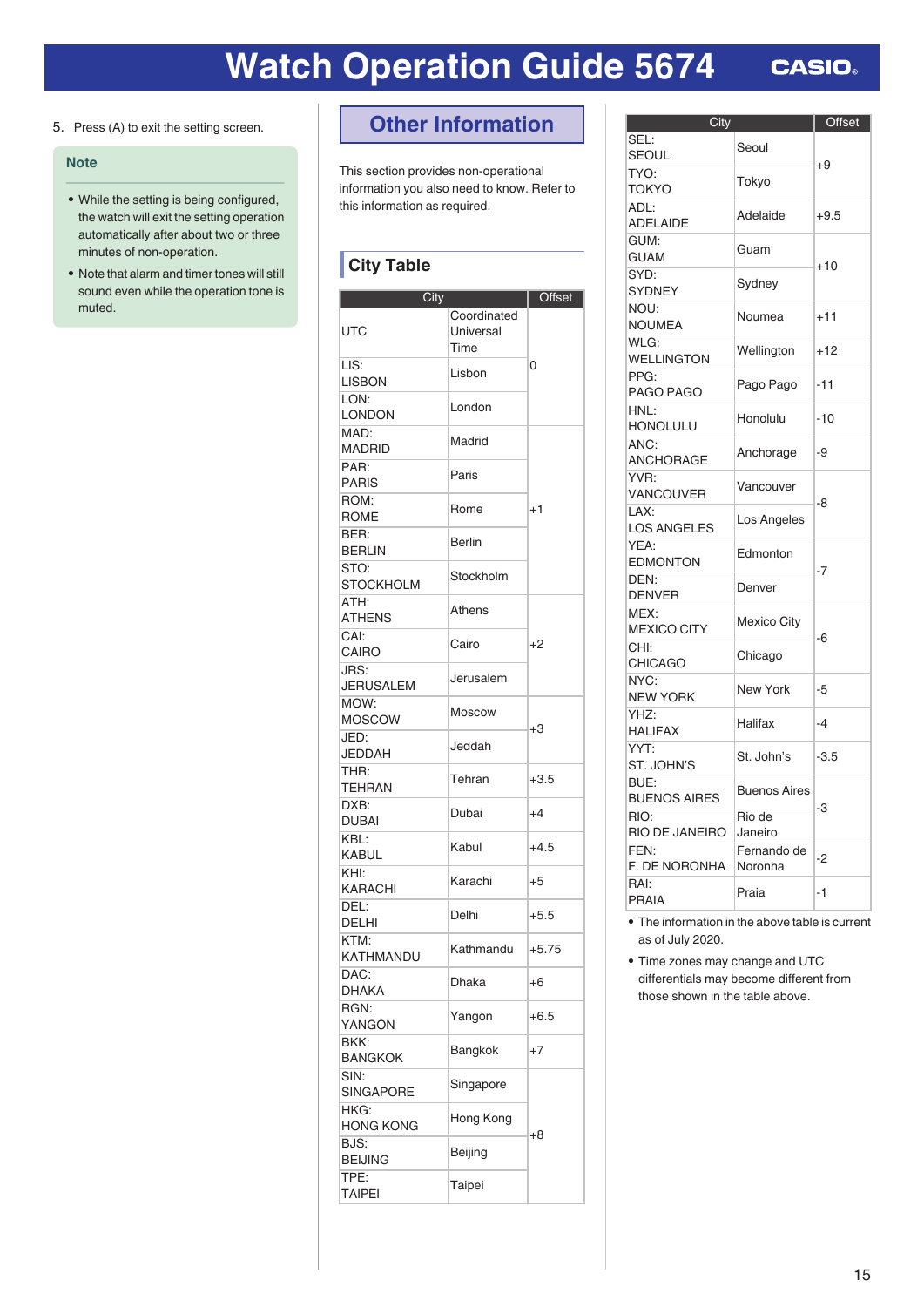<span id="page-14-0"></span>5. Press (A) to exit the setting screen.

### **Note**

- While the setting is being configured, the watch will exit the setting operation automatically after about two or three minutes of non-operation.
- Note that alarm and timer tones will still sound even while the operation tone is muted.

# **Other Information**

This section provides non-operational information you also need to know. Refer to this information as required.

## **City Table**

| City                     |                                  | Offset  |
|--------------------------|----------------------------------|---------|
| UTC                      | Coordinated<br>Universal<br>Time |         |
| LIS:<br><b>LISBON</b>    | Lisbon                           | 0       |
| LON:<br>LONDON           | London                           |         |
| MAD:<br><b>MADRID</b>    | Madrid                           |         |
| PAR:<br><b>PARIS</b>     | Paris                            |         |
| ROM:<br><b>ROME</b>      | Rome                             | $^{+1}$ |
| BER:<br><b>BERLIN</b>    | <b>Berlin</b>                    |         |
| STO:<br>STOCKHOLM        | Stockholm                        |         |
| ATH:<br><b>ATHENS</b>    | Athens                           |         |
| CAI:<br>CAIRO            | Cairo                            | $+2$    |
| JRS:<br><b>JERUSALEM</b> | Jerusalem                        |         |
| MOW:<br><b>MOSCOW</b>    | Moscow                           |         |
| JED:<br>JEDDAH           | Jeddah                           | $+3$    |
| THR:<br>TEHRAN           | Tehran                           | $+3.5$  |
| DXB:<br><b>DUBAI</b>     | Dubai                            | $+4$    |
| KBL:<br>KABUL            | Kabul                            | $+4.5$  |
| KHI:<br>KARACHI          | Karachi                          | $+5$    |
| DEL:<br>DELHI            | Delhi                            | $+5.5$  |
| KTM:<br>KATHMANDU        | Kathmandu                        | $+5.75$ |
| DAC:<br><b>DHAKA</b>     | Dhaka                            | $+6$    |
| RGN:<br>YANGON           | Yangon                           | $+6.5$  |
| BKK:<br><b>BANGKOK</b>   | Bangkok                          | $+7$    |
| SIN:<br><b>SINGAPORE</b> | Singapore                        |         |
| HKG:<br><b>HONG KONG</b> | Hong Kong                        |         |
| BJS:<br><b>BEIJING</b>   | Beijing                          | +8      |
| TPE:<br><b>TAIPEI</b>    | Taipei                           |         |

| City                        |                     | Offset |
|-----------------------------|---------------------|--------|
| SEL:                        | Seoul               |        |
| <b>SEOUL</b>                |                     | $+9$   |
| TYO:                        | Tokyo               |        |
| TOKYO<br>ADL:               |                     |        |
| <b>ADELAIDE</b>             | Adelaide            | $+9.5$ |
| GUM:                        |                     |        |
| <b>GUAM</b>                 | Guam                | $+10$  |
| SYD:                        | Sydney              |        |
| <b>SYDNEY</b>               |                     |        |
| NOU:                        | Noumea              | $+11$  |
| NOUMEA                      |                     |        |
| WLG:<br><b>WELLINGTON</b>   | Wellington          | +12    |
| PPG:                        |                     |        |
| PAGO PAGO                   | Pago Pago           | -11    |
| HNL:                        |                     |        |
| HONOLULU                    | Honolulu            | $-10$  |
| ANC:                        | Anchorage           | -9     |
| ANCHORAGE                   |                     |        |
| YVR:                        | Vancouver           |        |
| VANCOUVER<br>A X:           |                     | -8     |
| <b>LOS ANGELES</b>          | Los Angeles         |        |
| YEA:                        |                     |        |
| <b>EDMONTON</b>             | Edmonton            |        |
| DEN:                        | Denver              | -7     |
| <b>DENVER</b>               |                     |        |
| MEX:                        | <b>Mexico City</b>  |        |
| <b>MEXICO CITY</b>          |                     | -6     |
| CHI:<br><b>CHICAGO</b>      | Chicago             |        |
| NYC:                        |                     |        |
| <b>NEW YORK</b>             | <b>New York</b>     | -5     |
| YHZ:                        |                     |        |
| <b>HALIFAX</b>              | Halifax             | -4     |
| YYT:                        | St. John's          | $-3.5$ |
| ST. JOHN'S                  |                     |        |
| BUE:                        | <b>Buenos Aires</b> |        |
| <b>BUENOS AIRES</b><br>RIO: | Rio de              | -3     |
| RIO DE JANEIRO              | Janeiro             |        |
| FEN:                        | Fernando de         |        |
| F. DE NORONHA               | Noronha             | $-2$   |
| RAI:                        | Praia               | $-1$   |
| <b>PRAIA</b>                |                     |        |

● The information in the above table is current as of July 2020.

● Time zones may change and UTC differentials may become different from those shown in the table above.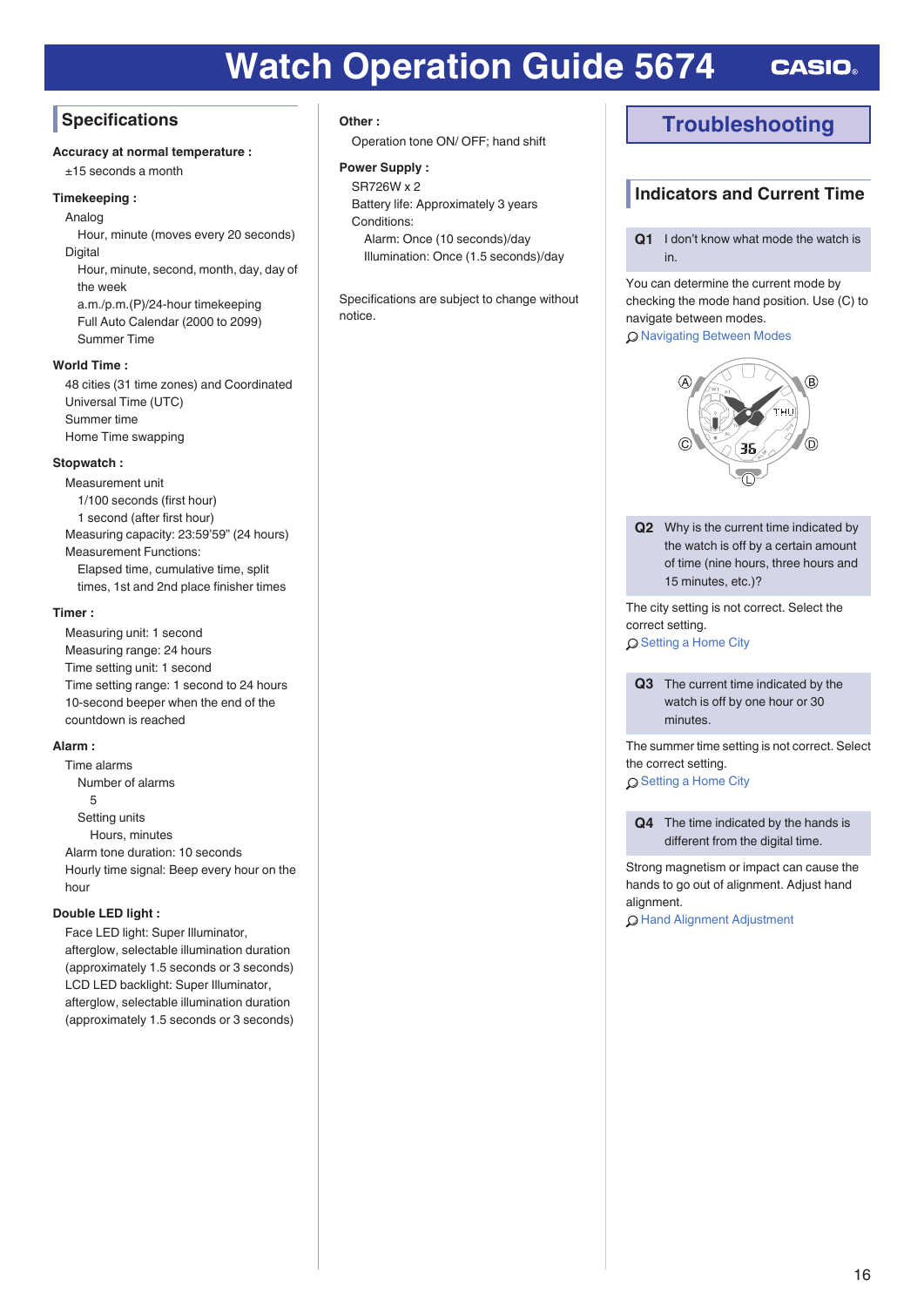# <span id="page-15-0"></span>**Specifications**

### **Accuracy at normal temperature :**

±15 seconds a month

### **Timekeeping :**

Analog

Hour, minute (moves every 20 seconds) Digital Hour, minute, second, month, day, day of the week

a.m./p.m.(P)/24-hour timekeeping Full Auto Calendar (2000 to 2099) Summer Time

#### **World Time :**

48 cities (31 time zones) and Coordinated Universal Time (UTC) Summer time Home Time swapping

#### **Stopwatch :**

Measurement unit 1/100 seconds (first hour) 1 second (after first hour) Measuring capacity: 23:59'59" (24 hours) Measurement Functions: Elapsed time, cumulative time, split times, 1st and 2nd place finisher times

#### **Timer :**

Measuring unit: 1 second Measuring range: 24 hours Time setting unit: 1 second Time setting range: 1 second to 24 hours 10-second beeper when the end of the countdown is reached

#### **Alarm :**

Time alarms Number of alarms 5 Setting units Hours, minutes Alarm tone duration: 10 seconds Hourly time signal: Beep every hour on the hour

### **Double LED light :**

Face LED light: Super Illuminator, afterglow, selectable illumination duration (approximately 1.5 seconds or 3 seconds) LCD LED backlight: Super Illuminator, afterglow, selectable illumination duration (approximately 1.5 seconds or 3 seconds)

#### **Other :**

Operation tone ON/ OFF; hand shift

#### **Power Supply :**

SR726W x 2 Battery life: Approximately 3 years Conditions: Alarm: Once (10 seconds)/day Illumination: Once (1.5 seconds)/day

Specifications are subject to change without notice.

# **Troubleshooting**

### **Indicators and Current Time**

**Q1** I don't know what mode the watch is in.

You can determine the current mode by checking the mode hand position. Use (C) to navigate between modes.

#### O [Navigating Between Modes](#page-6-0)



**Q2** Why is the current time indicated by the watch is off by a certain amount of time (nine hours, three hours and 15 minutes, etc.)?

The city setting is not correct. Select the correct setting. Q [Setting a Home City](#page-7-0)

**Q3** The current time indicated by the watch is off by one hour or 30 minutes.

The summer time setting is not correct. Select the correct setting.

Q [Setting a Home City](#page-7-0)

**Q4** The time indicated by the hands is different from the digital time.

Strong magnetism or impact can cause the hands to go out of alignment. Adjust hand alignment.

l [Hand Alignment Adjustment](#page-13-0)